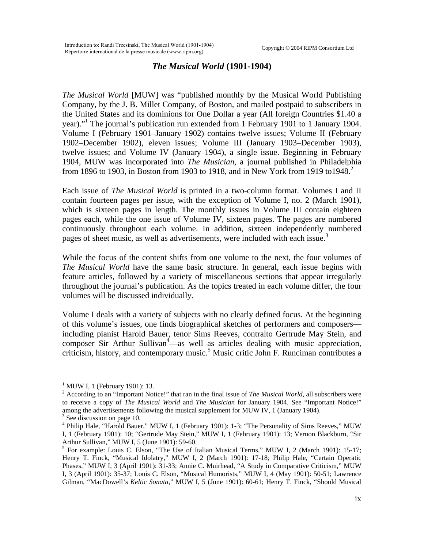## *The Musical World* **(1901-1904)**

*The Musical World* [MUW] was "published monthly by the Musical World Publishing Company, by the J. B. Millet Company, of Boston, and mailed postpaid to subscribers in the United States and its dominions for One Dollar a year (All foreign Countries \$1.40 a year).["1](#page-0-0) The journal's publication run extended from 1 February 1901 to 1 January 1904. Volume I (February 1901–January 1902) contains twelve issues; Volume II (February 1902–December 1902), eleven issues; Volume III (January 1903–December 1903), twelve issues; and Volume IV (January 1904), a single issue. Beginning in February 1904, MUW was incorporated into *The Musician*, a journal published in Philadelphia from 1896 to 1903, in Boston from 1903 to 1918, and in New York from 1919 to 1948.<sup>[2](#page-0-1)</sup>

Each issue of *The Musical World* is printed in a two-column format. Volumes I and II contain fourteen pages per issue, with the exception of Volume I, no. 2 (March 1901), which is sixteen pages in length. The monthly issues in Volume III contain eighteen pages each, while the one issue of Volume IV, sixteen pages. The pages are numbered continuously throughout each volume. In addition, sixteen independently numbered pages of sheet music, as well as advertisements, were included with each issue.<sup>[3](#page-0-2)</sup>

While the focus of the content shifts from one volume to the next, the four volumes of *The Musical World* have the same basic structure. In general, each issue begins with feature articles, followed by a variety of miscellaneous sections that appear irregularly throughout the journal's publication. As the topics treated in each volume differ, the four volumes will be discussed individually.

Volume I deals with a variety of subjects with no clearly defined focus. At the beginning of this volume's issues, one finds biographical sketches of performers and composers including pianist Harold Bauer, tenor Sims Reeves, contralto Gertrude May Stein, and composer Sir Arthur Sullivan<sup>[4](#page-0-3)</sup>—as well as articles dealing with music appreciation, criticism, history, and contemporary music.<sup>[5](#page-0-4)</sup> Music critic John F. Runciman contributes a

<span id="page-0-0"></span><sup>&</sup>lt;sup>1</sup> MUW I, 1 (February 1901): 13.

<span id="page-0-1"></span><sup>&</sup>lt;sup>2</sup> According to an "Important Notice!" that ran in the final issue of *The Musical World*, all subscribers were to receive a copy of *The Musical World* and *The Musician* for January 1904. See "Important Notice!" among the advertisements following the musical supplement for MUW IV, 1 (January 1904).

<span id="page-0-2"></span><sup>&</sup>lt;sup>3</sup> See discussion on page 10.

<span id="page-0-3"></span><sup>&</sup>lt;sup>4</sup> Philip Hale, "Harold Bauer," MUW I, 1 (February 1901): 1-3; "The Personality of Sims Reeves," MUW I, 1 (February 1901): 10; "Gertrude May Stein," MUW I, 1 (February 1901): 13; Vernon Blackburn, "Sir Arthur Sullivan," MUW I, 5 (June 1901): 59-60.

<span id="page-0-4"></span><sup>&</sup>lt;sup>5</sup> For example: Louis C. Elson, "The Use of Italian Musical Terms," MUW I, 2 (March 1901): 15-17; Henry T. Finck, "Musical Idolatry," MUW I, 2 (March 1901): 17-18; Philip Hale, "Certain Operatic Phases," MUW I, 3 (April 1901): 31-33; Annie C. Muirhead, "A Study in Comparative Criticism," MUW I, 3 (April 1901): 35-37; Louis C. Elson, "Musical Humorists," MUW I, 4 (May 1901): 50-51; Lawrence Gilman, "MacDowell's *Keltic Sonata*," MUW I, 5 (June 1901): 60-61; Henry T. Finck, "Should Musical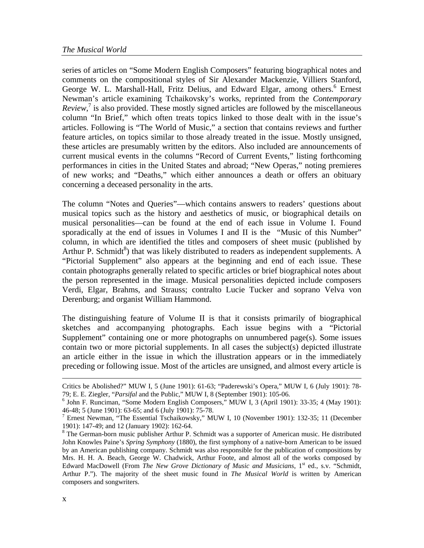series of articles on "Some Modern English Composers" featuring biographical notes and comments on the compositional styles of Sir Alexander Mackenzie, Villiers Stanford, George W. L. Marshall-Hall, Fritz Delius, and Edward Elgar, among others.<sup>[6](#page-1-0)</sup> Ernest Newman's article examining Tchaikovsky's works, reprinted from the *Contemporary Review*,<sup>[7](#page-1-1)</sup> is also provided. These mostly signed articles are followed by the miscellaneous column "In Brief," which often treats topics linked to those dealt with in the issue's articles. Following is "The World of Music," a section that contains reviews and further feature articles, on topics similar to those already treated in the issue. Mostly unsigned, these articles are presumably written by the editors. Also included are announcements of current musical events in the columns "Record of Current Events," listing forthcoming performances in cities in the United States and abroad; "New Operas," noting premieres of new works; and "Deaths," which either announces a death or offers an obituary concerning a deceased personality in the arts.

The column "Notes and Queries"—which contains answers to readers' questions about musical topics such as the history and aesthetics of music, or biographical details on musical personalities—can be found at the end of each issue in Volume I. Found sporadically at the end of issues in Volumes I and II is the "Music of this Number" column, in which are identified the titles and composers of sheet music (published by Arthur P. Schmidt<sup>[8](#page-1-2)</sup>) that was likely distributed to readers as independent supplements. A "Pictorial Supplement" also appears at the beginning and end of each issue. These contain photographs generally related to specific articles or brief biographical notes about the person represented in the image. Musical personalities depicted include composers Verdi, Elgar, Brahms, and Strauss; contralto Lucie Tucker and soprano Velva von Derenburg; and organist William Hammond.

The distinguishing feature of Volume II is that it consists primarily of biographical sketches and accompanying photographs. Each issue begins with a "Pictorial Supplement" containing one or more photographs on unnumbered page(s). Some issues contain two or more pictorial supplements. In all cases the subject(s) depicted illustrate an article either in the issue in which the illustration appears or in the immediately preceding or following issue. Most of the articles are unsigned, and almost every article is

 $\overline{a}$ 

Critics be Abolished?" MUW I, 5 (June 1901): 61-63; "Paderewski's Opera," MUW I, 6 (July 1901): 78- 79; E. E. Ziegler, "*Parsifal* and the Public," MUW I, 8 (September 1901): 105-06.

<span id="page-1-0"></span> $6$  John F. Runciman, "Some Modern English Composers," MUW I, 3 (April 1901): 33-35; 4 (May 1901): 46-48; 5 (June 1901): 63-65; and 6 (July 1901): 75-78.

<span id="page-1-1"></span><sup>&</sup>lt;sup>7</sup> Ernest Newman, "The Essential Tschaikowsky," MUW I, 10 (November 1901): 132-35; 11 (December 1901): 147-49; and 12 (January 1902): 162-64.

<span id="page-1-2"></span><sup>&</sup>lt;sup>8</sup> The German-born music publisher Arthur P. Schmidt was a supporter of American music. He distributed John Knowles Paine's *Spring Symphony* (1880), the first symphony of a native-born American to be issued by an American publishing company. Schmidt was also responsible for the publication of compositions by Mrs. H. H. A. Beach, George W. Chadwick, Arthur Foote, and almost all of the works composed by Edward MacDowell (From *The New Grove Dictionary of Music and Musicians*, 1<sup>st</sup> ed., s.v. "Schmidt, Arthur P."). The majority of the sheet music found in *The Musical World* is written by American composers and songwriters.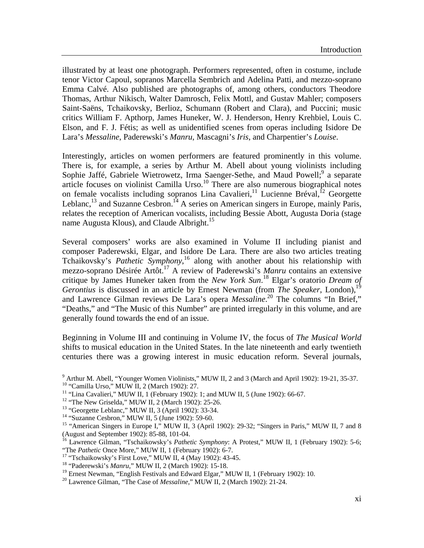illustrated by at least one photograph. Performers represented, often in costume, include tenor Victor Capoul, sopranos Marcella Sembrich and Adelina Patti, and mezzo-soprano Emma Calvé. Also published are photographs of, among others, conductors Theodore Thomas, Arthur Nikisch, Walter Damrosch, Felix Mottl, and Gustav Mahler; composers Saint-Saëns, Tchaikovsky, Berlioz, Schumann (Robert and Clara), and Puccini; music critics William F. Apthorp, James Huneker, W. J. Henderson, Henry Krehbiel, Louis C. Elson, and F. J. Fétis; as well as unidentified scenes from operas including Isidore De Lara's *Messaline*, Paderewski's *Manru*, Mascagni's *Iris*, and Charpentier's *Louise*.

Interestingly, articles on women performers are featured prominently in this volume. There is, for example, a series by Arthur M. Abell about young violinists including Sophie Jaffé, Gabriele Wietrowetz, Irma Saenger-Sethe, and Maud Powell;<sup>[9](#page-2-0)</sup> a separate article focuses on violinist Camilla Urso.<sup>10</sup> There are also numerous biographical notes on female vocalists including sopranos Lina Cavalieri,<sup>11</sup> Lucienne Bréval,<sup>12</sup> Georgette Leblanc,<sup>13</sup> and Suzanne Cesbron.<sup>14</sup> A series on American singers in Europe, mainly Paris, relates the reception of American vocalists, including Bessie Abott, Augusta Doria (stage name Augusta Klous), and Claude Albright.<sup>15</sup>

Several composers' works are also examined in Volume II including pianist and composer Paderewski, Elgar, and Isidore De Lara. There are also two articles treating Tchaikovsky's *Pathetic Symphony*, [16](#page-2-7) along with another about his relationship with mezzo-soprano Désirée Artôt.[17](#page-2-8) A review of Paderewski's *Manru* contains an extensive critique by James Huneker taken from the *New York Sun*. [18](#page-2-9) Elgar's oratorio *Dream of Gerontius* is discussed in an article by Ernest Newman (from *The Speaker*, London),<sup>19</sup> and Lawrence Gilman reviews De Lara's opera *Messaline*. [20](#page-2-11) The columns "In Brief," "Deaths," and "The Music of this Number" are printed irregularly in this volume, and are generally found towards the end of an issue.

Beginning in Volume III and continuing in Volume IV, the focus of *The Musical World* shifts to musical education in the United States. In the late nineteenth and early twentieth centuries there was a growing interest in music education reform. Several journals,

<span id="page-2-8"></span>

<span id="page-2-0"></span><sup>&</sup>lt;sup>9</sup> Arthur M. Abell, "Younger Women Violinists," MUW II, 2 and 3 (March and April 1902): 19-21, 35-37. <sup>10</sup> "Camilla Urso," MUW II, 2 (March 1902): 27.

<span id="page-2-2"></span><span id="page-2-1"></span><sup>&</sup>lt;sup>11</sup> "Lina Cavalieri," MUW II, 1 (February 1902): 1; and MUW II, 5 (June 1902): 66-67.

<span id="page-2-3"></span><sup>&</sup>lt;sup>12</sup> "The New Griselda," MUW II, 2 (March 1902): 25-26.

<span id="page-2-4"></span><sup>13 &</sup>quot;Georgette Leblanc," MUW II, 3 (April 1902): 33-34.

<span id="page-2-5"></span><sup>14 &</sup>quot;Suzanne Cesbron," MUW II, 5 (June 1902): 59-60.

<span id="page-2-6"></span><sup>&</sup>lt;sup>15</sup> "American Singers in Europe I," MUW II, 3 (April 1902): 29-32; "Singers in Paris," MUW II, 7 and 8 (August and September 1902): 85-88, 101-04.

<span id="page-2-7"></span><sup>&</sup>lt;sup>16</sup> Lawrence Gilman, "Tschaikowsky's *Pathetic Symphony*: A Protest," MUW II, 1 (February 1902): 5-6; "The *Pathetic* Once More," MUW II, 1 (February 1902): 6-7.<br><sup>17</sup> "Tschaikowsky's First Love," MUW II, 4 (May 1902): 43-45.

<span id="page-2-9"></span><sup>18 &</sup>quot;Paderewski's *Manru*," MUW II, 2 (March 1902): 15-18.

<span id="page-2-10"></span><sup>&</sup>lt;sup>19</sup> Ernest Newman, "English Festivals and Edward Elgar," MUW II, 1 (February 1902): 10.

<span id="page-2-11"></span><sup>20</sup> Lawrence Gilman, "The Case of *Messaline*," MUW II, 2 (March 1902): 21-24.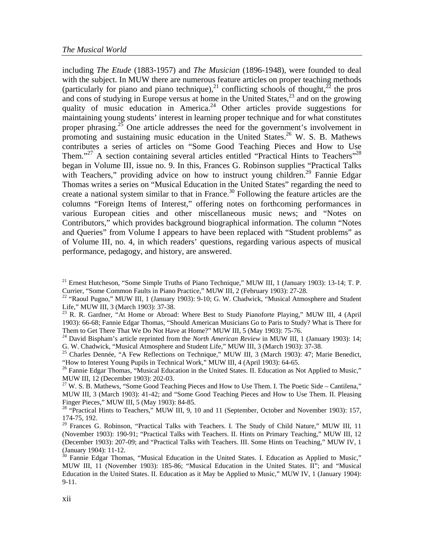including *The Etude* (1883-1957) and *The Musician* (1896-1948), were founded to deal with the subject. In MUW there are numerous feature articles on proper teaching methods (particularly for piano and piano technique),<sup>21</sup> conflicting schools of thought,<sup>22</sup> the pros and cons of studying in Europe versus at home in the United States,  $23$  and on the growing quality of music education in America.<sup>24</sup> Other articles provide suggestions for maintaining young students' interest in learning proper technique and for what constitutes proper phrasing.<sup>25</sup> One article addresses the need for the government's involvement in promoting and sustaining music education in the United States.<sup>26</sup> W. S. B. Mathews contributes a series of articles on "Some Good Teaching Pieces and How to Use Them."<sup>27</sup> A section containing several articles entitled "Practical Hints to Teachers"<sup>28</sup> began in Volume III, issue no. 9. In this, Frances G. Robinson supplies "Practical Talks with Teachers," providing advice on how to instruct young children.<sup>29</sup> Fannie Edgar Thomas writes a series on "Musical Education in the United States" regarding the need to create a national system similar to that in France.<sup>30</sup> Following the feature articles are the columns "Foreign Items of Interest," offering notes on forthcoming performances in various European cities and other miscellaneous music news; and "Notes on Contributors," which provides background biographical information. The column "Notes and Queries" from Volume I appears to have been replaced with "Student problems" as of Volume III, no. 4, in which readers' questions, regarding various aspects of musical performance, pedagogy, and history, are answered.

<span id="page-3-0"></span><sup>&</sup>lt;sup>21</sup> Ernest Hutcheson, "Some Simple Truths of Piano Technique," MUW III, 1 (January 1903): 13-14; T. P. Currier, "Some Common Faults in Piano Practice," MUW III, 2 (February 1903): 27-28.

<span id="page-3-1"></span><sup>&</sup>lt;sup>22</sup> "Raoul Pugno," MUW III, 1 (January 1903): 9-10; G. W. Chadwick, "Musical Atmosphere and Student Life," MUW III, 3 (March 1903): 37-38.

<span id="page-3-2"></span> $^{23}$  R. R. Gardner, "At Home or Abroad: Where Best to Study Pianoforte Playing," MUW III, 4 (April 1903): 66-68; Fannie Edgar Thomas, "Should American Musicians Go to Paris to Study? What is There for Them to Get There That We Do Not Have at Home?" MUW III, 5 (May 1903): 75-76.

<span id="page-3-3"></span><sup>&</sup>lt;sup>24</sup> David Bispham's article reprinted from the *North American Review* in MUW III, 1 (January 1903): 14; G. W. Chadwick, "Musical Atmosphere and Student Life," MUW III, 3 (March 1903): 37-38.

<span id="page-3-4"></span><sup>&</sup>lt;sup>25</sup> Charles Dennée, "A Few Reflections on Technique," MUW III, 3 (March 1903): 47; Marie Benedict, "How to Interest Young Pupils in Technical Work," MUW III, 4 (April 1903): 64-65.

<span id="page-3-5"></span><sup>&</sup>lt;sup>26</sup> Fannie Edgar Thomas, "Musical Education in the United States. II. Education as Not Applied to Music," MUW III, 12 (December 1903): 202-03.

<span id="page-3-6"></span><sup>&</sup>lt;sup>27</sup> W. S. B. Mathews, "Some Good Teaching Pieces and How to Use Them. I. The Poetic Side – Cantilena," MUW III, 3 (March 1903): 41-42; and "Some Good Teaching Pieces and How to Use Them. II. Pleasing Finger Pieces," MUW III, 5 (May 1903): 84-85.<br><sup>28</sup> "Practical Hints to Teachers," MUW III, 9, 10 and 11 (September, October and November 1903): 157,

<span id="page-3-7"></span><sup>174-75, 192.</sup> 

<span id="page-3-8"></span> $29$  Frances G. Robinson, "Practical Talks with Teachers. I. The Study of Child Nature," MUW III, 11 (November 1903): 190-91; "Practical Talks with Teachers. II. Hints on Primary Teaching," MUW III, 12 (December 1903): 207-09; and "Practical Talks with Teachers. III. Some Hints on Teaching," MUW IV, 1  $\frac{1}{30}$  Hannie Edgar Thomas

<span id="page-3-9"></span><sup>30</sup> Fannie Edgar Thomas, "Musical Education in the United States. I. Education as Applied to Music," MUW III, 11 (November 1903): 185-86; "Musical Education in the United States. II"; and "Musical Education in the United States. II. Education as it May be Applied to Music," MUW IV, 1 (January 1904): 9-11.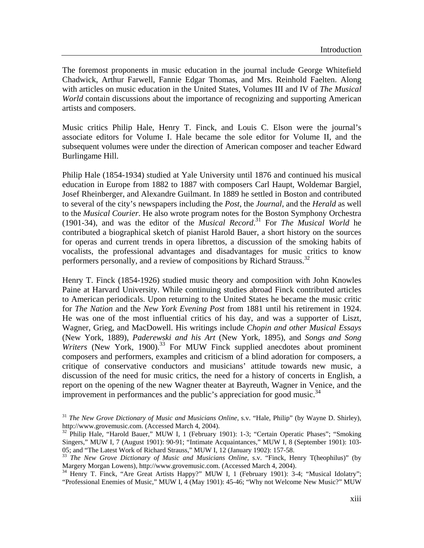The foremost proponents in music education in the journal include George Whitefield Chadwick, Arthur Farwell, Fannie Edgar Thomas, and Mrs. Reinhold Faelten. Along with articles on music education in the United States, Volumes III and IV of *The Musical World* contain discussions about the importance of recognizing and supporting American artists and composers.

Music critics Philip Hale, Henry T. Finck, and Louis C. Elson were the journal's associate editors for Volume I. Hale became the sole editor for Volume II, and the subsequent volumes were under the direction of American composer and teacher Edward Burlingame Hill.

Philip Hale (1854-1934) studied at Yale University until 1876 and continued his musical education in Europe from 1882 to 1887 with composers Carl Haupt, Woldemar Bargiel, Josef Rheinberger, and Alexandre Guilmant. In 1889 he settled in Boston and contributed to several of the city's newspapers including the *Post*, the *Journal*, and the *Herald* as well to the *Musical Courier*. He also wrote program notes for the Boston Symphony Orchestra (1901-34), and was the editor of the *Musical Record*. [31](#page-4-0) For *The Musical World* he contributed a biographical sketch of pianist Harold Bauer, a short history on the sources for operas and current trends in opera librettos, a discussion of the smoking habits of vocalists, the professional advantages and disadvantages for music critics to know performers personally, and a review of compositions by Richard Strauss.<sup>32</sup>

Henry T. Finck (1854-1926) studied music theory and composition with John Knowles Paine at Harvard University. While continuing studies abroad Finck contributed articles to American periodicals. Upon returning to the United States he became the music critic for *The Nation* and the *New York Evening Post* from 1881 until his retirement in 1924. He was one of the most influential critics of his day, and was a supporter of Liszt, Wagner, Grieg, and MacDowell. His writings include *Chopin and other Musical Essays* (New York, 1889), *Paderewski and his Art* (New York, 1895), and *Songs and Song Writers* (New York, 1900).<sup>33</sup> For MUW Finck supplied anecdotes about prominent composers and performers, examples and criticism of a blind adoration for composers, a critique of conservative conductors and musicians' attitude towards new music, a discussion of the need for music critics, the need for a history of concerts in English, a report on the opening of the new Wagner theater at Bayreuth, Wagner in Venice, and the improvement in performances and the public's appreciation for good music.<sup>[34](#page-4-3)</sup>

<span id="page-4-0"></span><sup>31</sup> *The New Grove Dictionary of Music and Musicians Online*, s.v. "Hale, Philip" (by Wayne D. Shirley), http://www.grovemusic.com. (Accessed March 4, 2004).<br><sup>32</sup> Philip Hale, "Harold Bauer," MUW I, 1 (February 1901): 1-3; "Certain Operatic Phases"; "Smoking

<span id="page-4-1"></span>Singers," MUW I, 7 (August 1901): 90-91; "Intimate Acquaintances," MUW I, 8 (September 1901): 103- 05; and "The Latest Work of Richard Strauss," MUW I, 12 (January 1902): 157-58.

<span id="page-4-2"></span><sup>&</sup>lt;sup>33</sup> The New Grove Dictionary of Music and Musicians Online, s.v. "Finck, Henry T(heophilus)" (by Margery Morgan Lowens), http://www.grovemusic.com. (Accessed March 4, 2004).

<span id="page-4-3"></span><sup>&</sup>lt;sup>34</sup> Henry T. Finck, "Are Great Artists Happy?" MUW I, 1 (February 1901): 3-4; "Musical Idolatry"; "Professional Enemies of Music," MUW I, 4 (May 1901): 45-46; "Why not Welcome New Music?" MUW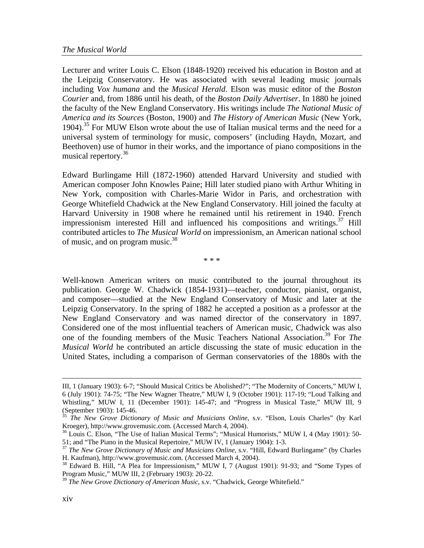Lecturer and writer Louis C. Elson (1848-1920) received his education in Boston and at the Leipzig Conservatory. He was associated with several leading music journals including *Vox humana* and the *Musical Herald*. Elson was music editor of the *Boston Courier* and, from 1886 until his death, of the *Boston Daily Advertiser*. In 1880 he joined the faculty of the New England Conservatory. His writings include *The National Music of America and its Sources* (Boston, 1900) and *The History of American Music* (New York, 1904).<sup>35</sup> For MUW Elson wrote about the use of Italian musical terms and the need for a universal system of terminology for music, composers' (including Haydn, Mozart, and Beethoven) use of humor in their works, and the importance of piano compositions in the musical repertory.<sup>36</sup>

Edward Burlingame Hill (1872-1960) attended Harvard University and studied with American composer John Knowles Paine; Hill later studied piano with Arthur Whiting in New York, composition with Charles-Marie Widor in Paris, and orchestration with George Whitefield Chadwick at the New England Conservatory. Hill joined the faculty at Harvard University in 1908 where he remained until his retirement in 1940. French impressionism interested Hill and influenced his compositions and writings. $37$  Hill contributed articles to *The Musical World* on impressionism, an American national school of music, and on program music. $38$ 

\* \* \*

Well-known American writers on music contributed to the journal throughout its publication. George W. Chadwick (1854-1931)—teacher, conductor, pianist, organist, and composer—studied at the New England Conservatory of Music and later at the Leipzig Conservatory. In the spring of 1882 he accepted a position as a professor at the New England Conservatory and was named director of the conservatory in 1897. Considered one of the most influential teachers of American music, Chadwick was also one of the founding members of the Music Teachers National Association.<sup>39</sup> For *The Musical World* he contributed an article discussing the state of music education in the United States, including a comparison of German conservatories of the 1880s with the

 $\overline{a}$ 

III, 1 (January 1903): 6-7; "Should Musical Critics be Abolished?"; "The Modernity of Concerts," MUW I, 6 (July 1901): 74-75; "The New Wagner Theatre," MUW I, 9 (October 1901): 117-19; "Loud Talking and Whistling," MUW I, 11 (December 1901): 145-47; and "Progress in Musical Taste," MUW III, 9 (September 1903): 145-46.

<span id="page-5-0"></span><sup>&</sup>lt;sup>55</sup> *The New Grove Dictionary of Music and Musicians Online*, s.v. "Elson, Louis Charles" (by Karl Kroeger), http://www.grovemusic.com. (Accessed March 4, 2004).

<span id="page-5-1"></span><sup>&</sup>lt;sup>36</sup> Louis C. Elson, "The Use of Italian Musical Terms"; "Musical Humorists," MUW I, 4 (May 1901): 50-51; and "The Piano in the Musical Repertoire," MUW IV, 1 (January 1904): 1-3.

<span id="page-5-2"></span><sup>&</sup>lt;sup>37</sup> *The New Grove Dictionary of Music and Musicians Online*, s.v. "Hill, Edward Burlingame" (by Charles H. Kaufman), http://www.grovemusic.com. (Accessed March 4, 2004).

<span id="page-5-3"></span><sup>&</sup>lt;sup>38</sup> Edward B. Hill, "A Plea for Impressionism," MUW I, 7 (August 1901): 91-93; and "Some Types of Program Music," MUW III, 2 (February 1903): 20-22.

<span id="page-5-4"></span><sup>39</sup> *The New Grove Dictionary of American Music*, s.v. "Chadwick, George Whitefield."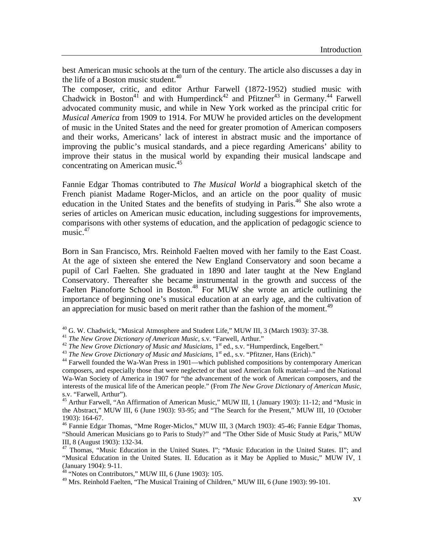best American music schools at the turn of the century. The article also discusses a day in the life of a Boston music student. $40$ 

The composer, critic, and editor Arthur Farwell (1872-1952) studied music with Chadwick in Boston<sup>41</sup> and with Humperdinck<sup>42</sup> and Pfitzner<sup>43</sup> in Germany.<sup>44</sup> Farwell advocated community music, and while in New York worked as the principal critic for *Musical America* from 1909 to 1914. For MUW he provided articles on the development of music in the United States and the need for greater promotion of American composers and their works, Americans' lack of interest in abstract music and the importance of improving the public's musical standards, and a piece regarding Americans' ability to improve their status in the musical world by expanding their musical landscape and concentrating on American music.<sup>[45](#page-6-5)</sup>

Fannie Edgar Thomas contributed to *The Musical World* a biographical sketch of the French pianist Madame Roger-Miclos, and an article on the poor quality of music education in the United States and the benefits of studying in Paris.[46](#page-6-6) She also wrote a series of articles on American music education, including suggestions for improvements, comparisons with other systems of education, and the application of pedagogic science to music. $47$ 

Born in San Francisco, Mrs. Reinhold Faelten moved with her family to the East Coast. At the age of sixteen she entered the New England Conservatory and soon became a pupil of Carl Faelten. She graduated in 1890 and later taught at the New England Conservatory. Thereafter she became instrumental in the growth and success of the Faelten Pianoforte School in Boston.<sup>48</sup> For MUW she wrote an article outlining the importance of beginning one's musical education at an early age, and the cultivation of an appreciation for music based on merit rather than the fashion of the moment.<sup>[49](#page-6-9)</sup>

- <span id="page-6-0"></span>
- <span id="page-6-1"></span>
- <span id="page-6-2"></span>
- <span id="page-6-4"></span><span id="page-6-3"></span>

<sup>40</sup> G. W. Chadwick, "Musical Atmosphere and Student Life," MUW III, 3 (March 1903): 37-38.<br><sup>41</sup> *The New Grove Dictionary of American Music*, s.v. "Farwell, Arthur."<br><sup>42</sup> *The New Grove Dictionary of Music and Musicians* composers, and especially those that were neglected or that used American folk material—and the National Wa-Wan Society of America in 1907 for "the advancement of the work of American composers, and the interests of the musical life of the American people." (From *The New Grove Dictionary of American Music*, s.v. "Farwell, Arthur").

<span id="page-6-5"></span>45 Arthur Farwell, "An Affirmation of American Music," MUW III, 1 (January 1903): 11-12; and "Music in the Abstract," MUW III, 6 (June 1903): 93-95; and "The Search for the Present," MUW III, 10 (October 1903): 164-67.

<span id="page-6-6"></span>46 Fannie Edgar Thomas, "Mme Roger-Miclos," MUW III, 3 (March 1903): 45-46; Fannie Edgar Thomas, "Should American Musicians go to Paris to Study?" and "The Other Side of Music Study at Paris," MUW III, 8 (August 1903): 132-34.

<span id="page-6-7"></span><sup>47</sup> Thomas, "Music Education in the United States. I"; "Music Education in the United States. II"; and "Musical Education in the United States. II. Education as it May be Applied to Music," MUW IV, 1 (January 1904): 9-11.

<span id="page-6-8"></span> $48$  "Notes on Contributors," MUW III, 6 (June 1903): 105.

<span id="page-6-9"></span> $^{49}$  Mrs. Reinhold Faelten, "The Musical Training of Children," MUW III, 6 (June 1903): 99-101.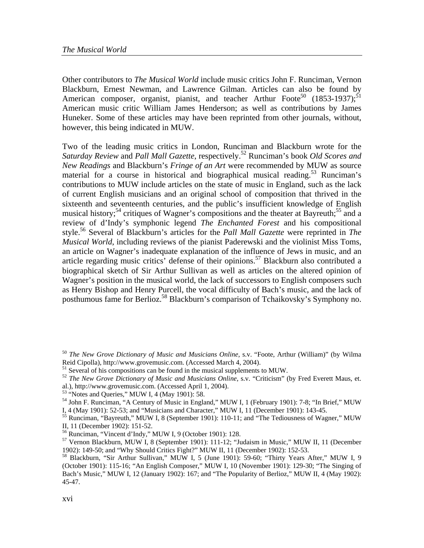Other contributors to *The Musical World* include music critics John F. Runciman, Vernon Blackburn, Ernest Newman, and Lawrence Gilman. Articles can also be found by American composer, organist, pianist, and teacher Arthur Foote<sup>50</sup> (1853-1937);<sup>51</sup> American music critic William James Henderson; as well as contributions by James Huneker. Some of these articles may have been reprinted from other journals, without, however, this being indicated in MUW.

Two of the leading music critics in London, Runciman and Blackburn wrote for the *Saturday Review* and *Pall Mall Gazette*, respectively.[52](#page-7-2) Runciman's book *Old Scores and New Readings* and Blackburn's *Fringe of an Art* were recommended by MUW as source material for a course in historical and biographical musical reading.<sup>53</sup> Runciman's contributions to MUW include articles on the state of music in England, such as the lack of current English musicians and an original school of composition that thrived in the sixteenth and seventeenth centuries, and the public's insufficient knowledge of English musical history;<sup>54</sup> critiques of Wagner's compositions and the theater at Bayreuth;<sup>55</sup> and a review of d'Indy's symphonic legend *The Enchanted Forest* and his compositional style.[56](#page-7-6) Several of Blackburn's articles for the *Pall Mall Gazette* were reprinted in *The Musical World*, including reviews of the pianist Paderewski and the violinist Miss Toms, an article on Wagner's inadequate explanation of the influence of Jews in music, and an article regarding music critics' defense of their opinions.<sup>57</sup> Blackburn also contributed a biographical sketch of Sir Arthur Sullivan as well as articles on the altered opinion of Wagner's position in the musical world, the lack of successors to English composers such as Henry Bishop and Henry Purcell, the vocal difficulty of Bach's music, and the lack of posthumous fame for Berlioz.<sup>58</sup> Blackburn's comparison of Tchaikovsky's Symphony no.

- <span id="page-7-1"></span> $51$  Several of his compositions can be found in the musical supplements to MUW.
- <span id="page-7-2"></span><sup>52</sup> *The New Grove Dictionary of Music and Musicians Online*, s.v. "Criticism" (by Fred Everett Maus, et. al.), http://www.grovemusic.com. (Accessed April 1, 2004).
- 
- <span id="page-7-3"></span> $53$  "Notes and Queries," MUW I, 4 (May 1901): 58.

<span id="page-7-4"></span><sup>54</sup> John F. Runciman, "A Century of Music in England," MUW I, 1 (February 1901): 7-8; "In Brief," MUW I, 4 (May 1901): 52-53; and "Musicians and Character," MUW I, 11 (December 1901): 143-45.

<span id="page-7-5"></span><sup>55</sup> Runciman, "Bayreuth," MUW I, 8 (September 1901): 110-11; and "The Tediousness of Wagner," MUW II, 11 (December 1902): 151-52.

<span id="page-7-6"></span>56 Runciman, "Vincent d'Indy," MUW I, 9 (October 1901): 128.

<span id="page-7-7"></span>57 Vernon Blackburn, MUW I, 8 (September 1901): 111-12; "Judaism in Music," MUW II, 11 (December 1902): 149-50; and "Why Should Critics Fight?" MUW II, 11 (December 1902): 152-53. 58 Blackburn, "Sir Arthur Sullivan," MUW I, 5 (June 1901): 59-60; "Thirty Years After," MUW I, 9

<span id="page-7-0"></span><sup>&</sup>lt;sup>50</sup> *The New Grove Dictionary of Music and Musicians Online*, s.v. "Foote, Arthur (William)" (by Wilma Reid Cipolla), http://www.grovemusic.com. (Accessed March 4, 2004).

<span id="page-7-8"></span><sup>(</sup>October 1901): 115-16; "An English Composer," MUW I, 10 (November 1901): 129-30; "The Singing of Bach's Music," MUW I, 12 (January 1902): 167; and "The Popularity of Berlioz," MUW II, 4 (May 1902): 45-47.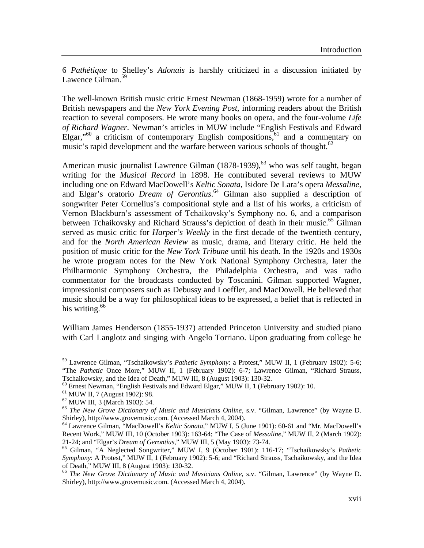6 *Pathétique* to Shelley's *Adonais* is harshly criticized in a discussion initiated by Lawence Gilman.<sup>[59](#page-8-0)</sup>

The well-known British music critic Ernest Newman (1868-1959) wrote for a number of British newspapers and the *New York Evening Post*, informing readers about the British reaction to several composers. He wrote many books on opera, and the four-volume *Life of Richard Wagner*. Newman's articles in MUW include "English Festivals and Edward Elgar,"<sup>60</sup> a criticism of contemporary English compositions, $61$  and a commentary on music's rapid development and the warfare between various schools of thought. $62$ 

American music journalist Lawrence Gilman  $(1878-1939)$ , <sup>63</sup> who was self taught, began writing for the *Musical Record* in 1898. He contributed several reviews to MUW including one on Edward MacDowell's *Keltic Sonata*, Isidore De Lara's opera *Messaline*, and Elgar's oratorio *Dream of Gerontius*. [64](#page-8-5) Gilman also supplied a description of songwriter Peter Cornelius's compositional style and a list of his works, a criticism of Vernon Blackburn's assessment of Tchaikovsky's Symphony no. 6, and a comparison between Tchaikovsky and Richard Strauss's depiction of death in their music.<sup>65</sup> Gilman served as music critic for *Harper's Weekly* in the first decade of the twentieth century, and for the *North American Review* as music, drama, and literary critic. He held the position of music critic for the *New York Tribune* until his death. In the 1920s and 1930s he wrote program notes for the New York National Symphony Orchestra, later the Philharmonic Symphony Orchestra, the Philadelphia Orchestra, and was radio commentator for the broadcasts conducted by Toscanini. Gilman supported Wagner, impressionist composers such as Debussy and Loeffler, and MacDowell. He believed that music should be a way for philosophical ideas to be expressed, a belief that is reflected in his writing. $66$ 

William James Henderson (1855-1937) attended Princeton University and studied piano with Carl Langlotz and singing with Angelo Torriano. Upon graduating from college he

<span id="page-8-0"></span><sup>59</sup> Lawrence Gilman, "Tschaikowsky's *Pathetic Symphony*: a Protest," MUW II, 1 (February 1902): 5-6; "The *Pathetic* Once More," MUW II, 1 (February 1902): 6-7; Lawrence Gilman, "Richard Strauss, Tschaikowsky, and the Idea of Death," MUW III, 8 (August 1903): 130-32.

<span id="page-8-1"></span><sup>60</sup> Ernest Newman, "English Festivals and Edward Elgar," MUW II, 1 (February 1902): 10.

<span id="page-8-2"></span><sup>61</sup> MUW II, 7 (August 1902): 98.

<span id="page-8-3"></span><sup>62</sup> MUW III, 3 (March 1903): 54.

<span id="page-8-4"></span><sup>63</sup> *The New Grove Dictionary of Music and Musicians Online*, s.v. "Gilman, Lawrence" (by Wayne D. Shirley), http://www.grovemusic.com. (Accessed March 4, 2004). 64 Lawrence Gilman, "MacDowell's *Keltic Sonata*," MUW I, 5 (June 1901): 60-61 and "Mr. MacDowell's

<span id="page-8-5"></span>Recent Work," MUW III, 10 (October 1903): 163-64; "The Case of *Messaline*," MUW II, 2 (March 1902):

<span id="page-8-6"></span><sup>&</sup>lt;sup>65</sup> Gilman, "A Neglected Songwriter," MUW I, 9 (October 1901): 116-17; "Tschaikowsky's Pathetic *Symphony*: A Protest," MUW II, 1 (February 1902): 5-6; and "Richard Strauss, Tschaikowsky, and the Idea of Death," MUW III, 8 (August 1903): 130-32.

<span id="page-8-7"></span><sup>66</sup> *The New Grove Dictionary of Music and Musicians Online*, s.v. "Gilman, Lawrence" (by Wayne D. Shirley), http://www.grovemusic.com. (Accessed March 4, 2004).